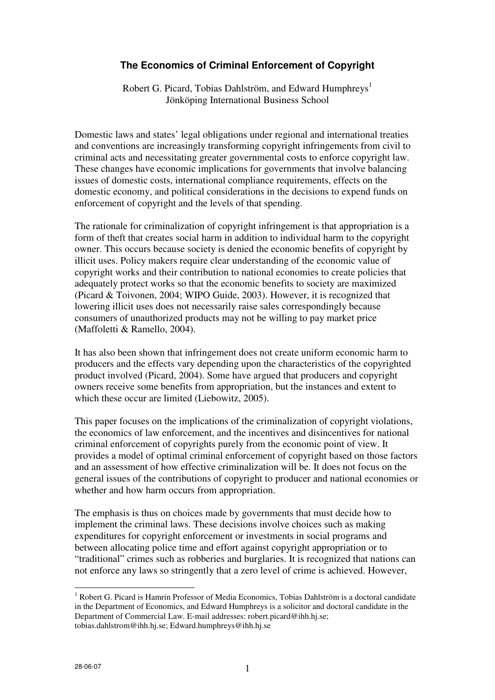# **The Economics of Criminal Enforcement of Copyright**

Robert G. Picard, Tobias Dahlström, and Edward Humphreys<sup>1</sup> Jönköping International Business School

Domestic laws and states' legal obligations under regional and international treaties and conventions are increasingly transforming copyright infringements from civil to criminal acts and necessitating greater governmental costs to enforce copyright law. These changes have economic implications for governments that involve balancing issues of domestic costs, international compliance requirements, effects on the domestic economy, and political considerations in the decisions to expend funds on enforcement of copyright and the levels of that spending.

The rationale for criminalization of copyright infringement is that appropriation is a form of theft that creates social harm in addition to individual harm to the copyright owner. This occurs because society is denied the economic benefits of copyright by illicit uses. Policy makers require clear understanding of the economic value of copyright works and their contribution to national economies to create policies that adequately protect works so that the economic benefits to society are maximized (Picard & Toivonen, 2004; WIPO Guide, 2003). However, it is recognized that lowering illicit uses does not necessarily raise sales correspondingly because consumers of unauthorized products may not be willing to pay market price (Maffoletti & Ramello, 2004).

It has also been shown that infringement does not create uniform economic harm to producers and the effects vary depending upon the characteristics of the copyrighted product involved (Picard, 2004). Some have argued that producers and copyright owners receive some benefits from appropriation, but the instances and extent to which these occur are limited (Liebowitz, 2005).

This paper focuses on the implications of the criminalization of copyright violations, the economics of law enforcement, and the incentives and disincentives for national criminal enforcement of copyrights purely from the economic point of view. It provides a model of optimal criminal enforcement of copyright based on those factors and an assessment of how effective criminalization will be. It does not focus on the general issues of the contributions of copyright to producer and national economies or whether and how harm occurs from appropriation.

The emphasis is thus on choices made by governments that must decide how to implement the criminal laws. These decisions involve choices such as making expenditures for copyright enforcement or investments in social programs and between allocating police time and effort against copyright appropriation or to "traditional" crimes such as robberies and burglaries. It is recognized that nations can not enforce any laws so stringently that a zero level of crime is achieved. However,

 $\overline{a}$ 

<sup>&</sup>lt;sup>1</sup> Robert G. Picard is Hamrin Professor of Media Economics, Tobias Dahlström is a doctoral candidate in the Department of Economics, and Edward Humphreys is a solicitor and doctoral candidate in the Department of Commercial Law. E-mail addresses: robert.picard@ihh.hj.se; tobias.dahlstrom@ihh.hj.se; Edward.humphreys@ihh.hj.se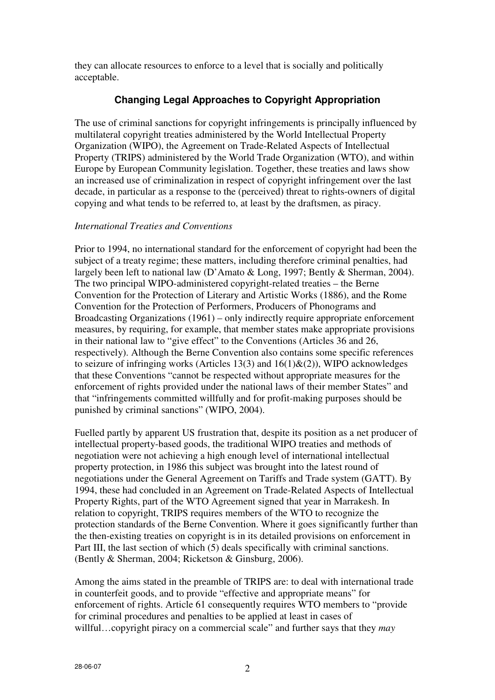they can allocate resources to enforce to a level that is socially and politically acceptable.

# **Changing Legal Approaches to Copyright Appropriation**

The use of criminal sanctions for copyright infringements is principally influenced by multilateral copyright treaties administered by the World Intellectual Property Organization (WIPO), the Agreement on Trade-Related Aspects of Intellectual Property (TRIPS) administered by the World Trade Organization (WTO), and within Europe by European Community legislation. Together, these treaties and laws show an increased use of criminalization in respect of copyright infringement over the last decade, in particular as a response to the (perceived) threat to rights-owners of digital copying and what tends to be referred to, at least by the draftsmen, as piracy.

## *International Treaties and Conventions*

Prior to 1994, no international standard for the enforcement of copyright had been the subject of a treaty regime; these matters, including therefore criminal penalties, had largely been left to national law (D'Amato & Long, 1997; Bently & Sherman, 2004). The two principal WIPO-administered copyright-related treaties – the Berne Convention for the Protection of Literary and Artistic Works (1886), and the Rome Convention for the Protection of Performers, Producers of Phonograms and Broadcasting Organizations (1961) – only indirectly require appropriate enforcement measures, by requiring, for example, that member states make appropriate provisions in their national law to "give effect" to the Conventions (Articles 36 and 26, respectively). Although the Berne Convention also contains some specific references to seizure of infringing works (Articles 13(3) and  $16(1) \& (2)$ ), WIPO acknowledges that these Conventions "cannot be respected without appropriate measures for the enforcement of rights provided under the national laws of their member States" and that "infringements committed willfully and for profit-making purposes should be punished by criminal sanctions" (WIPO, 2004).

Fuelled partly by apparent US frustration that, despite its position as a net producer of intellectual property-based goods, the traditional WIPO treaties and methods of negotiation were not achieving a high enough level of international intellectual property protection, in 1986 this subject was brought into the latest round of negotiations under the General Agreement on Tariffs and Trade system (GATT). By 1994, these had concluded in an Agreement on Trade-Related Aspects of Intellectual Property Rights, part of the WTO Agreement signed that year in Marrakesh. In relation to copyright, TRIPS requires members of the WTO to recognize the protection standards of the Berne Convention. Where it goes significantly further than the then-existing treaties on copyright is in its detailed provisions on enforcement in Part III, the last section of which (5) deals specifically with criminal sanctions. (Bently & Sherman, 2004; Ricketson & Ginsburg, 2006).

Among the aims stated in the preamble of TRIPS are: to deal with international trade in counterfeit goods, and to provide "effective and appropriate means" for enforcement of rights. Article 61 consequently requires WTO members to "provide for criminal procedures and penalties to be applied at least in cases of willful…copyright piracy on a commercial scale" and further says that they *may*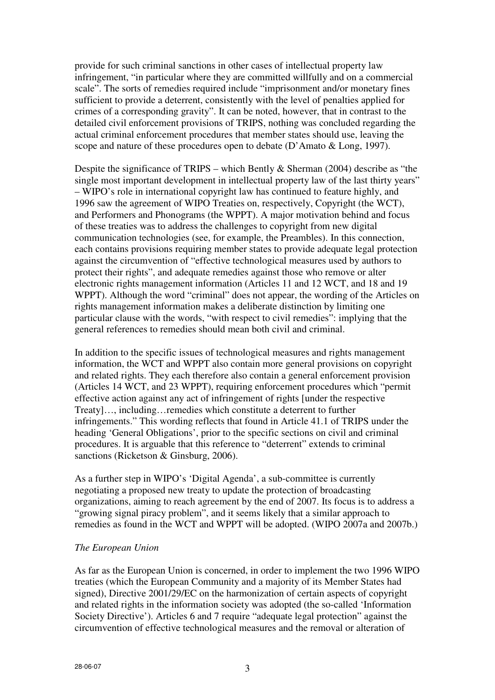provide for such criminal sanctions in other cases of intellectual property law infringement, "in particular where they are committed willfully and on a commercial scale". The sorts of remedies required include "imprisonment and/or monetary fines sufficient to provide a deterrent, consistently with the level of penalties applied for crimes of a corresponding gravity". It can be noted, however, that in contrast to the detailed civil enforcement provisions of TRIPS, nothing was concluded regarding the actual criminal enforcement procedures that member states should use, leaving the scope and nature of these procedures open to debate (D'Amato & Long, 1997).

Despite the significance of TRIPS – which Bently  $&$  Sherman (2004) describe as "the single most important development in intellectual property law of the last thirty years" – WIPO's role in international copyright law has continued to feature highly, and 1996 saw the agreement of WIPO Treaties on, respectively, Copyright (the WCT), and Performers and Phonograms (the WPPT). A major motivation behind and focus of these treaties was to address the challenges to copyright from new digital communication technologies (see, for example, the Preambles). In this connection, each contains provisions requiring member states to provide adequate legal protection against the circumvention of "effective technological measures used by authors to protect their rights", and adequate remedies against those who remove or alter electronic rights management information (Articles 11 and 12 WCT, and 18 and 19 WPPT). Although the word "criminal" does not appear, the wording of the Articles on rights management information makes a deliberate distinction by limiting one particular clause with the words, "with respect to civil remedies": implying that the general references to remedies should mean both civil and criminal.

In addition to the specific issues of technological measures and rights management information, the WCT and WPPT also contain more general provisions on copyright and related rights. They each therefore also contain a general enforcement provision (Articles 14 WCT, and 23 WPPT), requiring enforcement procedures which "permit effective action against any act of infringement of rights [under the respective Treaty]…, including…remedies which constitute a deterrent to further infringements." This wording reflects that found in Article 41.1 of TRIPS under the heading 'General Obligations', prior to the specific sections on civil and criminal procedures. It is arguable that this reference to "deterrent" extends to criminal sanctions (Ricketson & Ginsburg, 2006).

As a further step in WIPO's 'Digital Agenda', a sub-committee is currently negotiating a proposed new treaty to update the protection of broadcasting organizations, aiming to reach agreement by the end of 2007. Its focus is to address a "growing signal piracy problem", and it seems likely that a similar approach to remedies as found in the WCT and WPPT will be adopted. (WIPO 2007a and 2007b.)

### *The European Union*

As far as the European Union is concerned, in order to implement the two 1996 WIPO treaties (which the European Community and a majority of its Member States had signed), Directive 2001/29/EC on the harmonization of certain aspects of copyright and related rights in the information society was adopted (the so-called 'Information Society Directive'). Articles 6 and 7 require "adequate legal protection" against the circumvention of effective technological measures and the removal or alteration of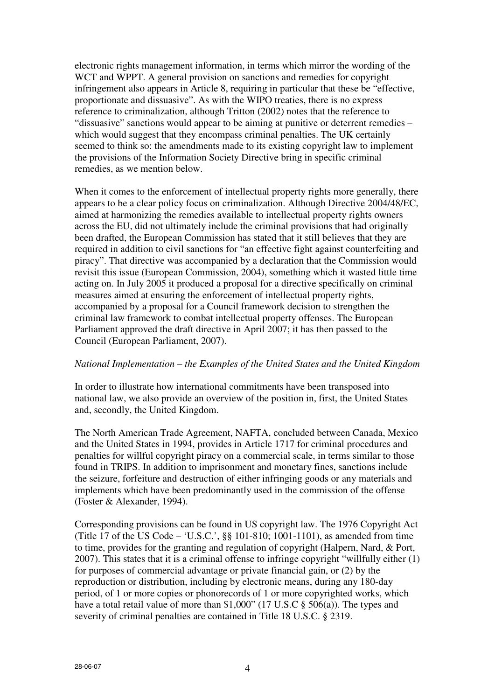electronic rights management information, in terms which mirror the wording of the WCT and WPPT. A general provision on sanctions and remedies for copyright infringement also appears in Article 8, requiring in particular that these be "effective, proportionate and dissuasive". As with the WIPO treaties, there is no express reference to criminalization, although Tritton (2002) notes that the reference to "dissuasive" sanctions would appear to be aiming at punitive or deterrent remedies – which would suggest that they encompass criminal penalties. The UK certainly seemed to think so: the amendments made to its existing copyright law to implement the provisions of the Information Society Directive bring in specific criminal remedies, as we mention below.

When it comes to the enforcement of intellectual property rights more generally, there appears to be a clear policy focus on criminalization. Although Directive 2004/48/EC, aimed at harmonizing the remedies available to intellectual property rights owners across the EU, did not ultimately include the criminal provisions that had originally been drafted, the European Commission has stated that it still believes that they are required in addition to civil sanctions for "an effective fight against counterfeiting and piracy". That directive was accompanied by a declaration that the Commission would revisit this issue (European Commission, 2004), something which it wasted little time acting on. In July 2005 it produced a proposal for a directive specifically on criminal measures aimed at ensuring the enforcement of intellectual property rights, accompanied by a proposal for a Council framework decision to strengthen the criminal law framework to combat intellectual property offenses. The European Parliament approved the draft directive in April 2007; it has then passed to the Council (European Parliament, 2007).

### *National Implementation – the Examples of the United States and the United Kingdom*

In order to illustrate how international commitments have been transposed into national law, we also provide an overview of the position in, first, the United States and, secondly, the United Kingdom.

The North American Trade Agreement, NAFTA, concluded between Canada, Mexico and the United States in 1994, provides in Article 1717 for criminal procedures and penalties for willful copyright piracy on a commercial scale, in terms similar to those found in TRIPS. In addition to imprisonment and monetary fines, sanctions include the seizure, forfeiture and destruction of either infringing goods or any materials and implements which have been predominantly used in the commission of the offense (Foster & Alexander, 1994).

Corresponding provisions can be found in US copyright law. The 1976 Copyright Act (Title 17 of the US Code – 'U.S.C.', §§ 101-810; 1001-1101), as amended from time to time, provides for the granting and regulation of copyright (Halpern, Nard, & Port, 2007). This states that it is a criminal offense to infringe copyright "willfully either (1) for purposes of commercial advantage or private financial gain, or (2) by the reproduction or distribution, including by electronic means, during any 180-day period, of 1 or more copies or phonorecords of 1 or more copyrighted works, which have a total retail value of more than \$1,000" (17 U.S.C § 506(a)). The types and severity of criminal penalties are contained in Title 18 U.S.C. § 2319.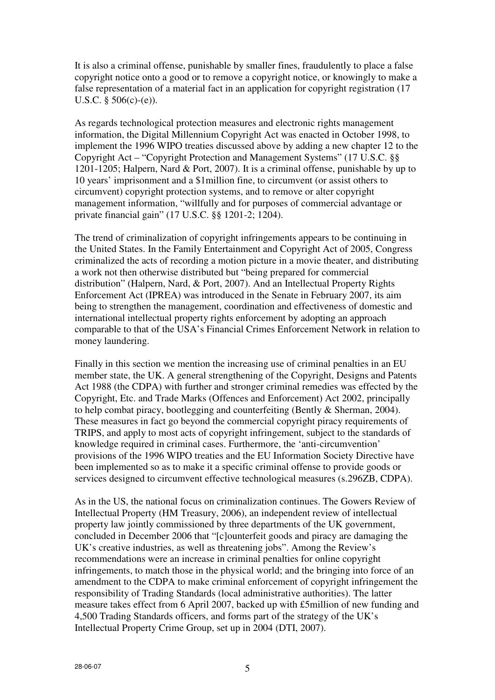It is also a criminal offense, punishable by smaller fines, fraudulently to place a false copyright notice onto a good or to remove a copyright notice, or knowingly to make a false representation of a material fact in an application for copyright registration (17 U.S.C. § 506(c)-(e)).

As regards technological protection measures and electronic rights management information, the Digital Millennium Copyright Act was enacted in October 1998, to implement the 1996 WIPO treaties discussed above by adding a new chapter 12 to the Copyright Act – "Copyright Protection and Management Systems" (17 U.S.C. §§ 1201-1205; Halpern, Nard & Port, 2007). It is a criminal offense, punishable by up to 10 years' imprisonment and a \$1million fine, to circumvent (or assist others to circumvent) copyright protection systems, and to remove or alter copyright management information, "willfully and for purposes of commercial advantage or private financial gain" (17 U.S.C. §§ 1201-2; 1204).

The trend of criminalization of copyright infringements appears to be continuing in the United States. In the Family Entertainment and Copyright Act of 2005, Congress criminalized the acts of recording a motion picture in a movie theater, and distributing a work not then otherwise distributed but "being prepared for commercial distribution" (Halpern, Nard, & Port, 2007). And an Intellectual Property Rights Enforcement Act (IPREA) was introduced in the Senate in February 2007, its aim being to strengthen the management, coordination and effectiveness of domestic and international intellectual property rights enforcement by adopting an approach comparable to that of the USA's Financial Crimes Enforcement Network in relation to money laundering.

Finally in this section we mention the increasing use of criminal penalties in an EU member state, the UK. A general strengthening of the Copyright, Designs and Patents Act 1988 (the CDPA) with further and stronger criminal remedies was effected by the Copyright, Etc. and Trade Marks (Offences and Enforcement) Act 2002, principally to help combat piracy, bootlegging and counterfeiting (Bently & Sherman, 2004). These measures in fact go beyond the commercial copyright piracy requirements of TRIPS, and apply to most acts of copyright infringement, subject to the standards of knowledge required in criminal cases. Furthermore, the 'anti-circumvention' provisions of the 1996 WIPO treaties and the EU Information Society Directive have been implemented so as to make it a specific criminal offense to provide goods or services designed to circumvent effective technological measures (s.296ZB, CDPA).

As in the US, the national focus on criminalization continues. The Gowers Review of Intellectual Property (HM Treasury, 2006), an independent review of intellectual property law jointly commissioned by three departments of the UK government, concluded in December 2006 that "[c]ounterfeit goods and piracy are damaging the UK's creative industries, as well as threatening jobs". Among the Review's recommendations were an increase in criminal penalties for online copyright infringements, to match those in the physical world; and the bringing into force of an amendment to the CDPA to make criminal enforcement of copyright infringement the responsibility of Trading Standards (local administrative authorities). The latter measure takes effect from 6 April 2007, backed up with £5million of new funding and 4,500 Trading Standards officers, and forms part of the strategy of the UK's Intellectual Property Crime Group, set up in 2004 (DTI, 2007).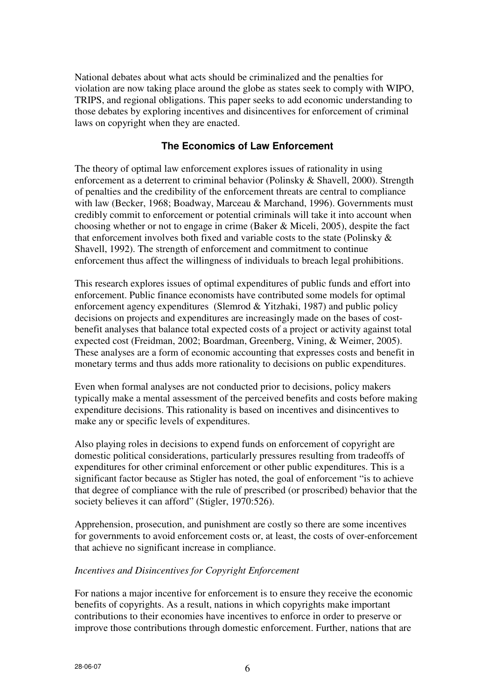National debates about what acts should be criminalized and the penalties for violation are now taking place around the globe as states seek to comply with WIPO, TRIPS, and regional obligations. This paper seeks to add economic understanding to those debates by exploring incentives and disincentives for enforcement of criminal laws on copyright when they are enacted.

## **The Economics of Law Enforcement**

The theory of optimal law enforcement explores issues of rationality in using enforcement as a deterrent to criminal behavior (Polinsky & Shavell, 2000). Strength of penalties and the credibility of the enforcement threats are central to compliance with law (Becker, 1968; Boadway, Marceau & Marchand, 1996). Governments must credibly commit to enforcement or potential criminals will take it into account when choosing whether or not to engage in crime (Baker & Miceli, 2005), despite the fact that enforcement involves both fixed and variable costs to the state (Polinsky & Shavell, 1992). The strength of enforcement and commitment to continue enforcement thus affect the willingness of individuals to breach legal prohibitions.

This research explores issues of optimal expenditures of public funds and effort into enforcement. Public finance economists have contributed some models for optimal enforcement agency expenditures (Slemrod & Yitzhaki, 1987) and public policy decisions on projects and expenditures are increasingly made on the bases of costbenefit analyses that balance total expected costs of a project or activity against total expected cost (Freidman, 2002; Boardman, Greenberg, Vining, & Weimer, 2005). These analyses are a form of economic accounting that expresses costs and benefit in monetary terms and thus adds more rationality to decisions on public expenditures.

Even when formal analyses are not conducted prior to decisions, policy makers typically make a mental assessment of the perceived benefits and costs before making expenditure decisions. This rationality is based on incentives and disincentives to make any or specific levels of expenditures.

Also playing roles in decisions to expend funds on enforcement of copyright are domestic political considerations, particularly pressures resulting from tradeoffs of expenditures for other criminal enforcement or other public expenditures. This is a significant factor because as Stigler has noted, the goal of enforcement "is to achieve that degree of compliance with the rule of prescribed (or proscribed) behavior that the society believes it can afford" (Stigler, 1970:526).

Apprehension, prosecution, and punishment are costly so there are some incentives for governments to avoid enforcement costs or, at least, the costs of over-enforcement that achieve no significant increase in compliance.

### *Incentives and Disincentives for Copyright Enforcement*

For nations a major incentive for enforcement is to ensure they receive the economic benefits of copyrights. As a result, nations in which copyrights make important contributions to their economies have incentives to enforce in order to preserve or improve those contributions through domestic enforcement. Further, nations that are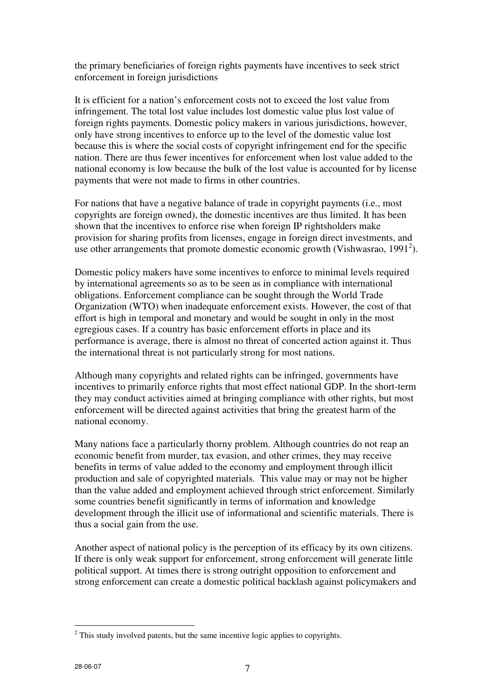the primary beneficiaries of foreign rights payments have incentives to seek strict enforcement in foreign jurisdictions

It is efficient for a nation's enforcement costs not to exceed the lost value from infringement. The total lost value includes lost domestic value plus lost value of foreign rights payments. Domestic policy makers in various jurisdictions, however, only have strong incentives to enforce up to the level of the domestic value lost because this is where the social costs of copyright infringement end for the specific nation. There are thus fewer incentives for enforcement when lost value added to the national economy is low because the bulk of the lost value is accounted for by license payments that were not made to firms in other countries.

For nations that have a negative balance of trade in copyright payments (i.e., most copyrights are foreign owned), the domestic incentives are thus limited. It has been shown that the incentives to enforce rise when foreign IP rightsholders make provision for sharing profits from licenses, engage in foreign direct investments, and use other arrangements that promote domestic economic growth (Vishwasrao, 1991<sup>2</sup>).

Domestic policy makers have some incentives to enforce to minimal levels required by international agreements so as to be seen as in compliance with international obligations. Enforcement compliance can be sought through the World Trade Organization (WTO) when inadequate enforcement exists. However, the cost of that effort is high in temporal and monetary and would be sought in only in the most egregious cases. If a country has basic enforcement efforts in place and its performance is average, there is almost no threat of concerted action against it. Thus the international threat is not particularly strong for most nations.

Although many copyrights and related rights can be infringed, governments have incentives to primarily enforce rights that most effect national GDP. In the short-term they may conduct activities aimed at bringing compliance with other rights, but most enforcement will be directed against activities that bring the greatest harm of the national economy.

Many nations face a particularly thorny problem. Although countries do not reap an economic benefit from murder, tax evasion, and other crimes, they may receive benefits in terms of value added to the economy and employment through illicit production and sale of copyrighted materials. This value may or may not be higher than the value added and employment achieved through strict enforcement. Similarly some countries benefit significantly in terms of information and knowledge development through the illicit use of informational and scientific materials. There is thus a social gain from the use.

Another aspect of national policy is the perception of its efficacy by its own citizens. If there is only weak support for enforcement, strong enforcement will generate little political support. At times there is strong outright opposition to enforcement and strong enforcement can create a domestic political backlash against policymakers and

 $\overline{a}$  $2$  This study involved patents, but the same incentive logic applies to copyrights.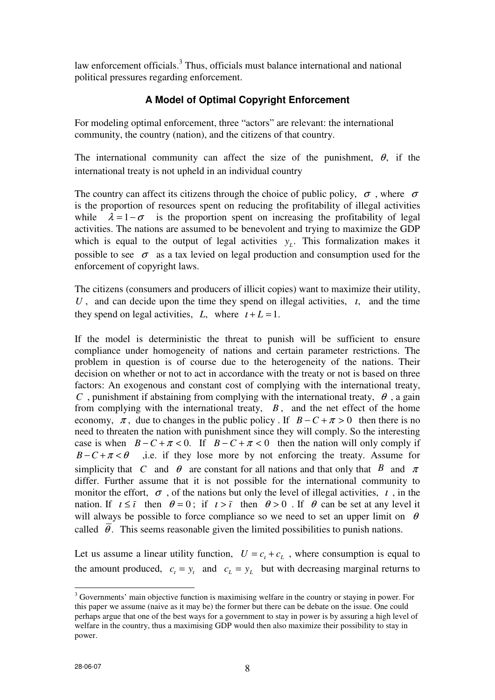law enforcement officials.<sup>3</sup> Thus, officials must balance international and national political pressures regarding enforcement.

## **A Model of Optimal Copyright Enforcement**

For modeling optimal enforcement, three "actors" are relevant: the international community, the country (nation), and the citizens of that country.

The international community can affect the size of the punishment,  $\theta$ , if the international treaty is not upheld in an individual country

The country can affect its citizens through the choice of public policy,  $\sigma$ , where  $\sigma$ is the proportion of resources spent on reducing the profitability of illegal activities while  $\lambda = 1 - \sigma$  is the proportion spent on increasing the profitability of legal activities. The nations are assumed to be benevolent and trying to maximize the GDP which is equal to the output of legal activities  $y_L$ . This formalization makes it possible to see  $\sigma$  as a tax levied on legal production and consumption used for the enforcement of copyright laws.

The citizens (consumers and producers of illicit copies) want to maximize their utility, *U*, and can decide upon the time they spend on illegal activities,  $\iota$ , and the time they spend on legal activities, *L*, where  $i + L = 1$ .

If the model is deterministic the threat to punish will be sufficient to ensure compliance under homogeneity of nations and certain parameter restrictions. The problem in question is of course due to the heterogeneity of the nations. Their decision on whether or not to act in accordance with the treaty or not is based on three factors: An exogenous and constant cost of complying with the international treaty, *C*, punishment if abstaining from complying with the international treaty,  $\theta$ , a gain from complying with the international treaty,  $\overline{B}$ , and the net effect of the home economy,  $\pi$ , due to changes in the public policy. If  $B - C + \pi > 0$  then there is no need to threaten the nation with punishment since they will comply. So the interesting case is when  $B - C + \pi < 0$ . If  $B - C + \pi < 0$  then the nation will only comply if  $B - C + \pi < \theta$  , i.e. if they lose more by not enforcing the treaty. Assume for simplicity that *C* and  $\theta$  are constant for all nations and that only that *B* and  $\pi$ differ. Further assume that it is not possible for the international community to monitor the effort,  $\sigma$ , of the nations but only the level of illegal activities,  $\iota$ , in the nation. If  $\iota \leq \bar{\iota}$  then  $\theta = 0$ ; if  $\iota > \bar{\iota}$  then  $\theta > 0$ . If  $\theta$  can be set at any level it will always be possible to force compliance so we need to set an upper limit on  $\theta$ called  $\bar{\theta}$ . This seems reasonable given the limited possibilities to punish nations.

Let us assume a linear utility function,  $U = c_1 + c_2$ , where consumption is equal to the amount produced,  $c_i = y_i$  and  $c_i = y_L$  but with decreasing marginal returns to

 $\overline{a}$ 

 $3$  Governments' main objective function is maximising welfare in the country or staying in power. For this paper we assume (naive as it may be) the former but there can be debate on the issue. One could perhaps argue that one of the best ways for a government to stay in power is by assuring a high level of welfare in the country, thus a maximising GDP would then also maximize their possibility to stay in power.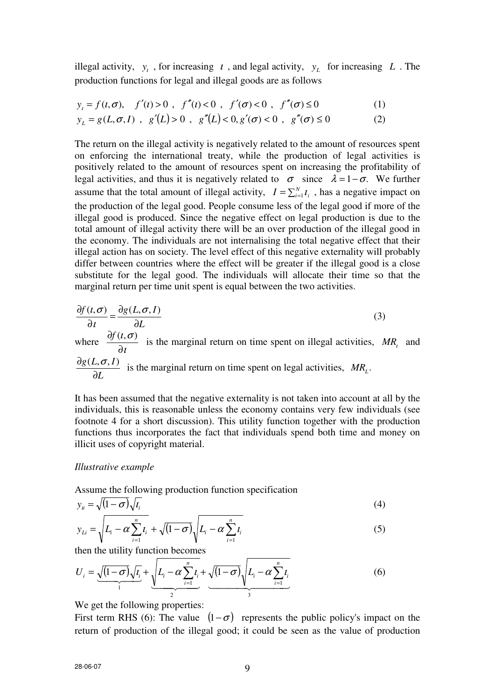illegal activity,  $y_i$ , for increasing *t*, and legal activity,  $y_L$  for increasing *L*. The production functions for legal and illegal goods are as follows

$$
y_{i} = f(t, \sigma), \quad f'(t) > 0 , \quad f''(t) < 0 , \quad f'(\sigma) < 0 , \quad f''(\sigma) \le 0
$$
 (1)

$$
y_L = g(L, \sigma, I) , g'(L) > 0 , g''(L) < 0, g'(\sigma) < 0 , g''(\sigma) \le 0
$$
 (2)

The return on the illegal activity is negatively related to the amount of resources spent on enforcing the international treaty, while the production of legal activities is positively related to the amount of resources spent on increasing the profitability of legal activities, and thus it is negatively related to  $\sigma$  since  $\lambda = 1 - \sigma$ . We further assume that the total amount of illegal activity,  $I = \sum_{i=1}^{N} t_i$ , has a negative impact on the production of the legal good. People consume less of the legal good if more of the illegal good is produced. Since the negative effect on legal production is due to the total amount of illegal activity there will be an over production of the illegal good in the economy. The individuals are not internalising the total negative effect that their illegal action has on society. The level effect of this negative externality will probably differ between countries where the effect will be greater if the illegal good is a close substitute for the legal good. The individuals will allocate their time so that the marginal return per time unit spent is equal between the two activities.

$$
\frac{\partial f(t,\sigma)}{\partial t} = \frac{\partial g(L,\sigma, I)}{\partial L}
$$
\nwhere  $\frac{\partial f(t,\sigma)}{\partial t}$  is the marginal return on time spent on illegal activities,  $MR_t$  and  $\frac{\partial g(L,\sigma, I)}{\partial L}$  is the marginal return on time spent on legal activities,  $MR_t$ .

It has been assumed that the negative externality is not taken into account at all by the individuals, this is reasonable unless the economy contains very few individuals (see footnote 4 for a short discussion). This utility function together with the production functions thus incorporates the fact that individuals spend both time and money on illicit uses of copyright material.

#### *Illustrative example*

Assume the following production function specification

$$
y_{ii} = \sqrt{(1 - \sigma)} \sqrt{l_i}
$$
 (4)

$$
y_{Li} = \sqrt{L_i - \alpha \sum_{i=1}^{n} t_i + \sqrt{(1 - \sigma)}} \sqrt{L_i - \alpha \sum_{i=1}^{n} t_i}
$$
 (5)

then the utility function becomes

$$
U_i = \underbrace{\sqrt{(1-\sigma)}\sqrt{l_i}}_{1} + \underbrace{\sqrt{l_i - \alpha \sum_{i=1}^{n} l_i}}_{2} + \underbrace{\sqrt{(1-\sigma)}\sqrt{l_i - \alpha \sum_{i=1}^{n} l_i}}_{3}
$$
(6)

We get the following properties:

First term RHS (6): The value  $(1 - \sigma)$  represents the public policy's impact on the return of production of the illegal good; it could be seen as the value of production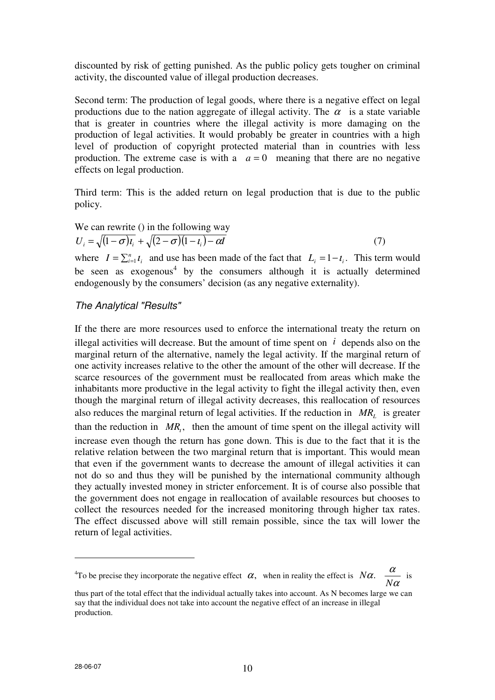discounted by risk of getting punished. As the public policy gets tougher on criminal activity, the discounted value of illegal production decreases.

Second term: The production of legal goods, where there is a negative effect on legal productions due to the nation aggregate of illegal activity. The  $\alpha$  is a state variable that is greater in countries where the illegal activity is more damaging on the production of legal activities. It would probably be greater in countries with a high level of production of copyright protected material than in countries with less production. The extreme case is with a  $a = 0$  meaning that there are no negative effects on legal production.

Third term: This is the added return on legal production that is due to the public policy.

We can rewrite () in the following way  
\n
$$
U_i = \sqrt{(1 - \sigma) t_i} + \sqrt{(2 - \sigma)(1 - t_i) - \alpha I}
$$
\n(7)

where  $I = \sum_{i=1}^{n} i_i$  and use has been made of the fact that  $L_i = 1 - i_i$ . This term would be seen as exogenous<sup>4</sup> by the consumers although it is actually determined endogenously by the consumers' decision (as any negative externality).

### The Analytical "Results"

If the there are more resources used to enforce the international treaty the return on illegal activities will decrease. But the amount of time spent on  $\hat{i}$  depends also on the marginal return of the alternative, namely the legal activity. If the marginal return of one activity increases relative to the other the amount of the other will decrease. If the scarce resources of the government must be reallocated from areas which make the inhabitants more productive in the legal activity to fight the illegal activity then, even though the marginal return of illegal activity decreases, this reallocation of resources also reduces the marginal return of legal activities. If the reduction in *MR<sup>L</sup>* is greater than the reduction in  $MR<sub>i</sub>$ , then the amount of time spent on the illegal activity will increase even though the return has gone down. This is due to the fact that it is the relative relation between the two marginal return that is important. This would mean that even if the government wants to decrease the amount of illegal activities it can not do so and thus they will be punished by the international community although they actually invested money in stricter enforcement. It is of course also possible that the government does not engage in reallocation of available resources but chooses to collect the resources needed for the increased monitoring through higher tax rates. The effect discussed above will still remain possible, since the tax will lower the return of legal activities.

 $\overline{a}$ 

<sup>&</sup>lt;sup>4</sup>To be precise they incorporate the negative effect  $\alpha$ , when in reality the effect is  $N\alpha$ .  $\frac{\alpha}{N\alpha}$ α  $\frac{\partial}{\partial \alpha}$  is

thus part of the total effect that the individual actually takes into account. As N becomes large we can say that the individual does not take into account the negative effect of an increase in illegal production.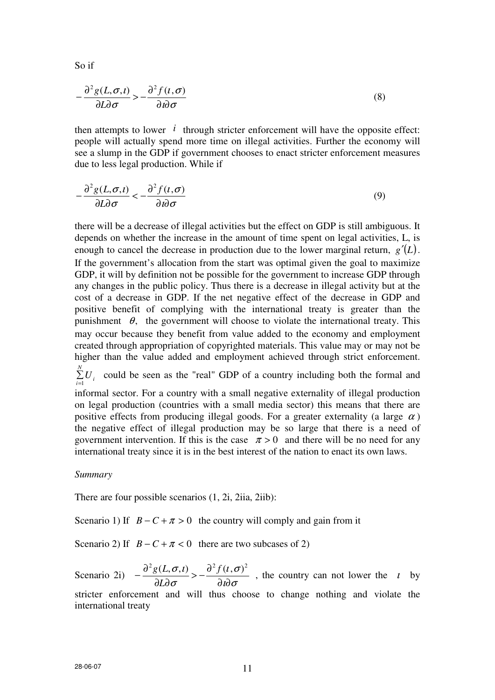So if

$$
-\frac{\partial^2 g(L,\sigma,t)}{\partial L \partial \sigma} > -\frac{\partial^2 f(t,\sigma)}{\partial t \partial \sigma}
$$
(8)

then attempts to lower  $i$  through stricter enforcement will have the opposite effect: people will actually spend more time on illegal activities. Further the economy will see a slump in the GDP if government chooses to enact stricter enforcement measures due to less legal production. While if

$$
-\frac{\partial^2 g(L,\sigma,t)}{\partial L \partial \sigma} < -\frac{\partial^2 f(t,\sigma)}{\partial t \partial \sigma} \tag{9}
$$

there will be a decrease of illegal activities but the effect on GDP is still ambiguous. It depends on whether the increase in the amount of time spent on legal activities, L, is enough to cancel the decrease in production due to the lower marginal return,  $g'(L)$ . If the government's allocation from the start was optimal given the goal to maximize GDP, it will by definition not be possible for the government to increase GDP through any changes in the public policy. Thus there is a decrease in illegal activity but at the cost of a decrease in GDP. If the net negative effect of the decrease in GDP and positive benefit of complying with the international treaty is greater than the punishment  $\theta$ , the government will choose to violate the international treaty. This may occur because they benefit from value added to the economy and employment created through appropriation of copyrighted materials. This value may or may not be higher than the value added and employment achieved through strict enforcement.

*i N*  $\sum_{i=1}^{n} U_i$  could be seen as the "real" GDP of a country including both the formal and

informal sector. For a country with a small negative externality of illegal production on legal production (countries with a small media sector) this means that there are positive effects from producing illegal goods. For a greater externality (a large  $\alpha$ ) the negative effect of illegal production may be so large that there is a need of government intervention. If this is the case  $\pi > 0$  and there will be no need for any international treaty since it is in the best interest of the nation to enact its own laws.

#### *Summary*

There are four possible scenarios (1, 2i, 2iia, 2iib):

Scenario 1) If  $B - C + \pi > 0$  the country will comply and gain from it

Scenario 2) If  $B - C + \pi < 0$  there are two subcases of 2)

Scenario 2i)  $-\frac{\partial g(z, \sigma, t)}{\partial L \partial \sigma} > -\frac{\partial f(z, \sigma, t)}{\partial L \partial \sigma}$ ι σ σ  $\sigma_{l}$  $\partial u$  $> -\frac{3}{6}$ 9Γ9 ∂ −  $\partial^2 g(L, \sigma, t)$   $\partial^2 f(t, \sigma)^2$ *L*  $\frac{g(L,\sigma,t)}{g(L,\sigma,t)} > -\frac{\partial^2 f(t,\sigma)^2}{g(L,\sigma,t)}$ , the country can not lower the *l* by

stricter enforcement and will thus choose to change nothing and violate the international treaty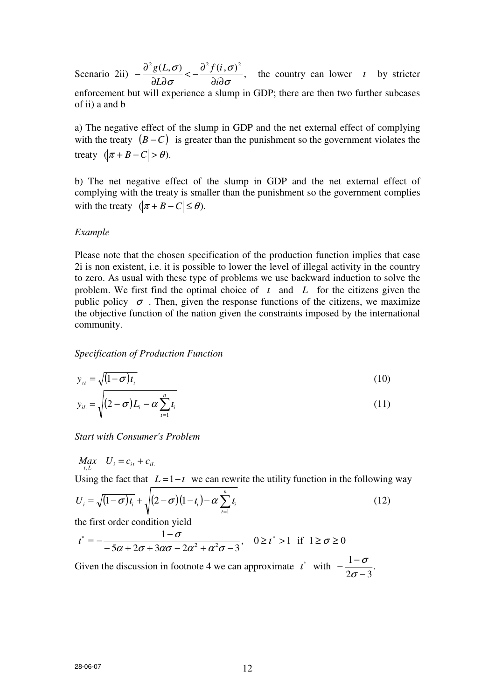Scenario 2ii)  $-\frac{\partial^2 g(L,\sigma)}{\partial \Sigma} < -\frac{\partial^2 f(i,\sigma)^2}{\partial \Sigma}$ σ σ σ σ  $\partial i\partial$  $\leq -\frac{\partial}{\partial}$ ∂ ∂ ∂ − *i f i L*  $g(L,\sigma)$   $\langle -\frac{\partial^2 f(i,\sigma)^2}{\partial L^2}, \text{ the country can lower } t \text{ by stricter}$ enforcement but will experience a slump in GDP; there are then two further subcases of ii) a and b

a) The negative effect of the slump in GDP and the net external effect of complying with the treaty  $(B - C)$  is greater than the punishment so the government violates the treaty  $(|\pi + B - C| > \theta)$ .

b) The net negative effect of the slump in GDP and the net external effect of complying with the treaty is smaller than the punishment so the government complies with the treaty  $(|\pi + B - C| \le \theta)$ .

#### *Example*

Please note that the chosen specification of the production function implies that case 2i is non existent, i.e. it is possible to lower the level of illegal activity in the country to zero. As usual with these type of problems we use backward induction to solve the problem. We first find the optimal choice of  $\iota$  and  $\iota$  for the citizens given the public policy  $\sigma$ . Then, given the response functions of the citizens, we maximize the objective function of the nation given the constraints imposed by the international community.

*Specification of Production Function* 

$$
y_{ii} = \sqrt{(1 - \sigma) t_i} \tag{10}
$$

$$
y_{iL} = \sqrt{(2-\sigma)L_i - \alpha \sum_{i=1}^{n} l_i}
$$
\n(11)

*Start with Consumer's Problem* 

$$
\begin{aligned}\nMax \quad U_i &= c_{ii} + c_{ii} \\
U \sin g \text{ the fact that } \quad L = 1 - t \quad \text{we can rewrite the utility function in the following way} \\
U_i &= \sqrt{(1 - \sigma) t_i} + \sqrt{(2 - \sigma)(1 - t_i) - \alpha \sum_{i=1}^n t_i} \tag{12}\n\end{aligned}
$$

the first order condition yield

$$
t^* = -\frac{1-\sigma}{-5\alpha+2\sigma+3\alpha\sigma-2\alpha^2+\alpha^2\sigma-3}, \quad 0 \ge t^* > 1 \text{ if } 1 \ge \sigma \ge 0
$$

Given the discussion in footnote 4 we can approximate  $i^*$  with  $-\frac{1-\theta}{\pi}$ .  $2\sigma - 3$ 1 −  $-\frac{1-\ }{2\sigma}$ σ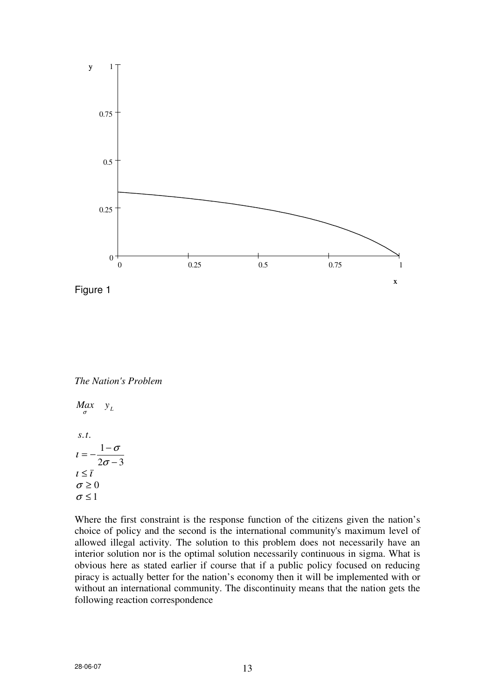

Figure 1

*The Nation's Problem* 

*<sup>L</sup> Max y* σ *s*.*t*.  $2\sigma - 3$ 1 − −  $l =$ σ  $l = -\frac{1-\sigma}{2}$  $l \leq \overline{l}$  $\sigma \geq 0$  $\sigma \leq 1$ 

Where the first constraint is the response function of the citizens given the nation's choice of policy and the second is the international community's maximum level of allowed illegal activity. The solution to this problem does not necessarily have an interior solution nor is the optimal solution necessarily continuous in sigma. What is obvious here as stated earlier if course that if a public policy focused on reducing piracy is actually better for the nation's economy then it will be implemented with or without an international community. The discontinuity means that the nation gets the following reaction correspondence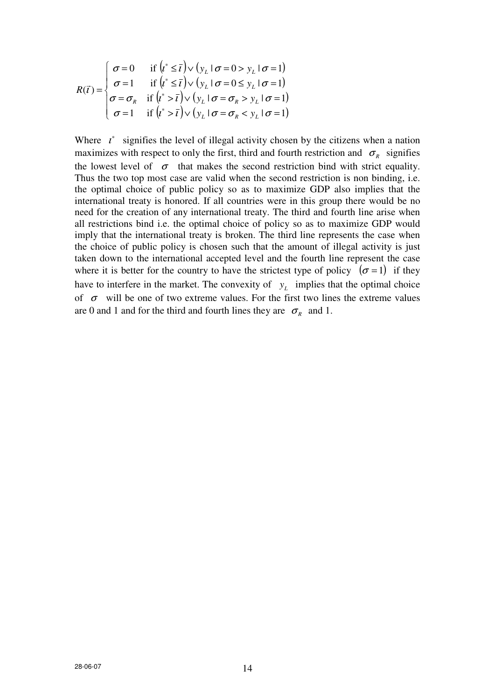$$
R(\vec{t}) = \begin{cases} \n\sigma = 0 & \text{if } \left(t^* \leq \bar{t}\right) \vee \left(y_L \mid \sigma = 0 > y_L \mid \sigma = 1\right) \\ \n\sigma = 1 & \text{if } \left(t^* \leq \bar{t}\right) \vee \left(y_L \mid \sigma = 0 \leq y_L \mid \sigma = 1\right) \\ \n\sigma = \sigma_R & \text{if } \left(t^* > \bar{t}\right) \vee \left(y_L \mid \sigma = \sigma_R > y_L \mid \sigma = 1\right) \\ \n\sigma = 1 & \text{if } \left(t^* > \bar{t}\right) \vee \left(y_L \mid \sigma = \sigma_R < y_L \mid \sigma = 1\right) \n\end{cases}
$$

Where  $i^*$  signifies the level of illegal activity chosen by the citizens when a nation maximizes with respect to only the first, third and fourth restriction and  $\sigma_R$  signifies the lowest level of  $\sigma$  that makes the second restriction bind with strict equality. Thus the two top most case are valid when the second restriction is non binding, i.e. the optimal choice of public policy so as to maximize GDP also implies that the international treaty is honored. If all countries were in this group there would be no need for the creation of any international treaty. The third and fourth line arise when all restrictions bind i.e. the optimal choice of policy so as to maximize GDP would imply that the international treaty is broken. The third line represents the case when the choice of public policy is chosen such that the amount of illegal activity is just taken down to the international accepted level and the fourth line represent the case where it is better for the country to have the strictest type of policy  $(\sigma = 1)$  if they have to interfere in the market. The convexity of  $y_L$  implies that the optimal choice of  $\sigma$  will be one of two extreme values. For the first two lines the extreme values are 0 and 1 and for the third and fourth lines they are  $\sigma_R$  and 1.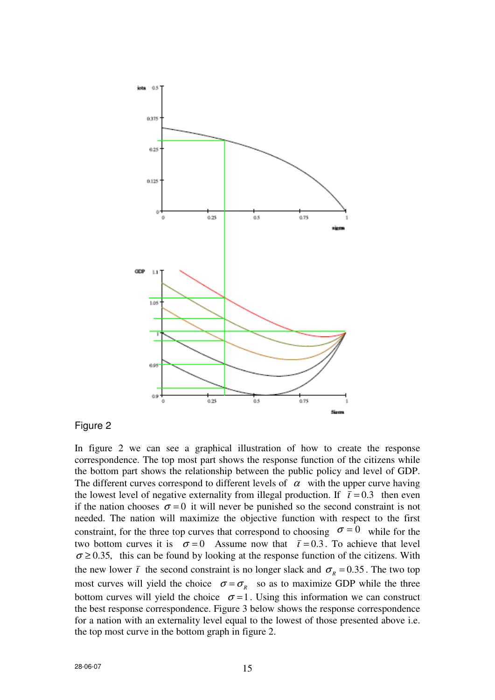

Figure 2

In figure 2 we can see a graphical illustration of how to create the response correspondence. The top most part shows the response function of the citizens while the bottom part shows the relationship between the public policy and level of GDP. The different curves correspond to different levels of  $\alpha$  with the upper curve having the lowest level of negative externality from illegal production. If  $\bar{i} = 0.3$  then even if the nation chooses  $\sigma = 0$  it will never be punished so the second constraint is not needed. The nation will maximize the objective function with respect to the first constraint, for the three top curves that correspond to choosing  $\sigma = 0$  while for the two bottom curves it is  $\sigma = 0$  Assume now that  $\bar{i} = 0.3$ . To achieve that level  $\sigma \ge 0.35$ , this can be found by looking at the response function of the citizens. With the new lower  $\bar{\imath}$  the second constraint is no longer slack and  $\sigma_R = 0.35$ . The two top most curves will yield the choice  $\sigma = \sigma_R$  so as to maximize GDP while the three bottom curves will yield the choice  $\sigma = 1$ . Using this information we can construct the best response correspondence. Figure 3 below shows the response correspondence for a nation with an externality level equal to the lowest of those presented above i.e. the top most curve in the bottom graph in figure 2.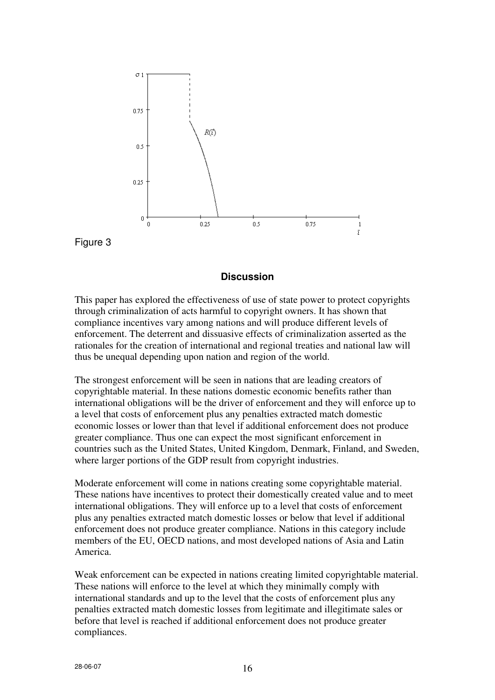



### **Discussion**

This paper has explored the effectiveness of use of state power to protect copyrights through criminalization of acts harmful to copyright owners. It has shown that compliance incentives vary among nations and will produce different levels of enforcement. The deterrent and dissuasive effects of criminalization asserted as the rationales for the creation of international and regional treaties and national law will thus be unequal depending upon nation and region of the world.

The strongest enforcement will be seen in nations that are leading creators of copyrightable material. In these nations domestic economic benefits rather than international obligations will be the driver of enforcement and they will enforce up to a level that costs of enforcement plus any penalties extracted match domestic economic losses or lower than that level if additional enforcement does not produce greater compliance. Thus one can expect the most significant enforcement in countries such as the United States, United Kingdom, Denmark, Finland, and Sweden, where larger portions of the GDP result from copyright industries.

Moderate enforcement will come in nations creating some copyrightable material. These nations have incentives to protect their domestically created value and to meet international obligations. They will enforce up to a level that costs of enforcement plus any penalties extracted match domestic losses or below that level if additional enforcement does not produce greater compliance. Nations in this category include members of the EU, OECD nations, and most developed nations of Asia and Latin America.

Weak enforcement can be expected in nations creating limited copyrightable material. These nations will enforce to the level at which they minimally comply with international standards and up to the level that the costs of enforcement plus any penalties extracted match domestic losses from legitimate and illegitimate sales or before that level is reached if additional enforcement does not produce greater compliances.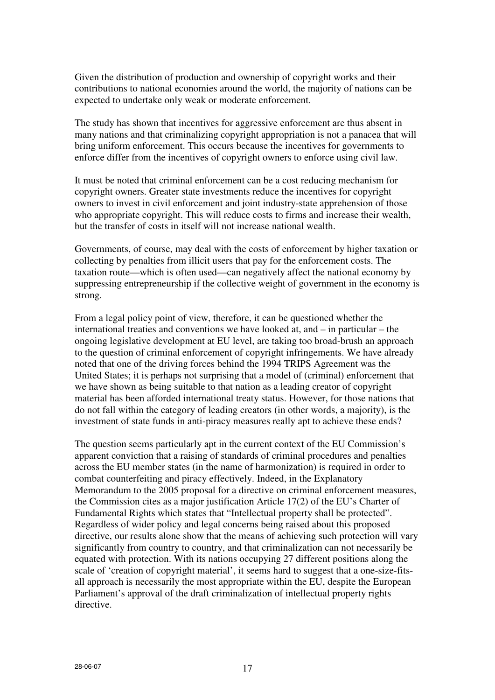Given the distribution of production and ownership of copyright works and their contributions to national economies around the world, the majority of nations can be expected to undertake only weak or moderate enforcement.

The study has shown that incentives for aggressive enforcement are thus absent in many nations and that criminalizing copyright appropriation is not a panacea that will bring uniform enforcement. This occurs because the incentives for governments to enforce differ from the incentives of copyright owners to enforce using civil law.

It must be noted that criminal enforcement can be a cost reducing mechanism for copyright owners. Greater state investments reduce the incentives for copyright owners to invest in civil enforcement and joint industry-state apprehension of those who appropriate copyright. This will reduce costs to firms and increase their wealth, but the transfer of costs in itself will not increase national wealth.

Governments, of course, may deal with the costs of enforcement by higher taxation or collecting by penalties from illicit users that pay for the enforcement costs. The taxation route—which is often used—can negatively affect the national economy by suppressing entrepreneurship if the collective weight of government in the economy is strong.

From a legal policy point of view, therefore, it can be questioned whether the international treaties and conventions we have looked at, and – in particular – the ongoing legislative development at EU level, are taking too broad-brush an approach to the question of criminal enforcement of copyright infringements. We have already noted that one of the driving forces behind the 1994 TRIPS Agreement was the United States; it is perhaps not surprising that a model of (criminal) enforcement that we have shown as being suitable to that nation as a leading creator of copyright material has been afforded international treaty status. However, for those nations that do not fall within the category of leading creators (in other words, a majority), is the investment of state funds in anti-piracy measures really apt to achieve these ends?

The question seems particularly apt in the current context of the EU Commission's apparent conviction that a raising of standards of criminal procedures and penalties across the EU member states (in the name of harmonization) is required in order to combat counterfeiting and piracy effectively. Indeed, in the Explanatory Memorandum to the 2005 proposal for a directive on criminal enforcement measures, the Commission cites as a major justification Article 17(2) of the EU's Charter of Fundamental Rights which states that "Intellectual property shall be protected". Regardless of wider policy and legal concerns being raised about this proposed directive, our results alone show that the means of achieving such protection will vary significantly from country to country, and that criminalization can not necessarily be equated with protection. With its nations occupying 27 different positions along the scale of 'creation of copyright material', it seems hard to suggest that a one-size-fitsall approach is necessarily the most appropriate within the EU, despite the European Parliament's approval of the draft criminalization of intellectual property rights directive.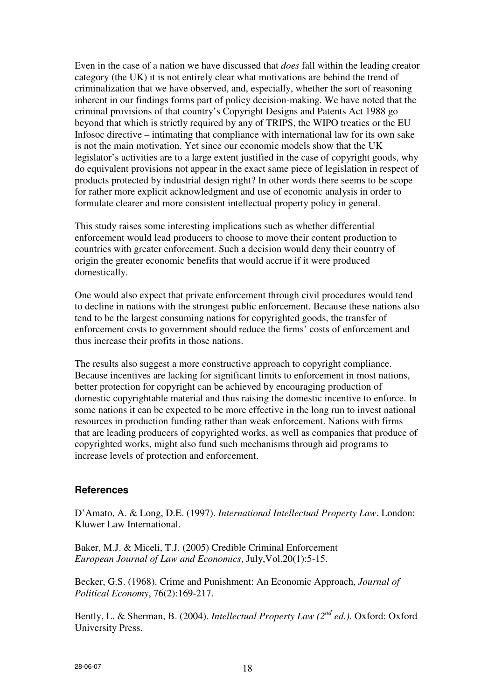Even in the case of a nation we have discussed that *does* fall within the leading creator category (the UK) it is not entirely clear what motivations are behind the trend of criminalization that we have observed, and, especially, whether the sort of reasoning inherent in our findings forms part of policy decision-making. We have noted that the criminal provisions of that country's Copyright Designs and Patents Act 1988 go beyond that which is strictly required by any of TRIPS, the WIPO treaties or the EU Infosoc directive – intimating that compliance with international law for its own sake is not the main motivation. Yet since our economic models show that the UK legislator's activities are to a large extent justified in the case of copyright goods, why do equivalent provisions not appear in the exact same piece of legislation in respect of products protected by industrial design right? In other words there seems to be scope for rather more explicit acknowledgment and use of economic analysis in order to formulate clearer and more consistent intellectual property policy in general.

This study raises some interesting implications such as whether differential enforcement would lead producers to choose to move their content production to countries with greater enforcement. Such a decision would deny their country of origin the greater economic benefits that would accrue if it were produced domestically.

One would also expect that private enforcement through civil procedures would tend to decline in nations with the strongest public enforcement. Because these nations also tend to be the largest consuming nations for copyrighted goods, the transfer of enforcement costs to government should reduce the firms' costs of enforcement and thus increase their profits in those nations.

The results also suggest a more constructive approach to copyright compliance. Because incentives are lacking for significant limits to enforcement in most nations, better protection for copyright can be achieved by encouraging production of domestic copyrightable material and thus raising the domestic incentive to enforce. In some nations it can be expected to be more effective in the long run to invest national resources in production funding rather than weak enforcement. Nations with firms that are leading producers of copyrighted works, as well as companies that produce of copyrighted works, might also fund such mechanisms through aid programs to increase levels of protection and enforcement.

### **References**

D'Amato, A. & Long, D.E. (1997). *International Intellectual Property Law*. London: Kluwer Law International.

Baker, M.J. & Miceli, T.J. (2005) Credible Criminal Enforcement *European Journal of Law and Economics*, July,Vol.20(1):5-15.

Becker, G.S. (1968). Crime and Punishment: An Economic Approach, *Journal of Political Economy*, 76(2):169-217.

Bently, L. & Sherman, B. (2004). *Intellectual Property Law (2nd ed.)*. Oxford: Oxford University Press.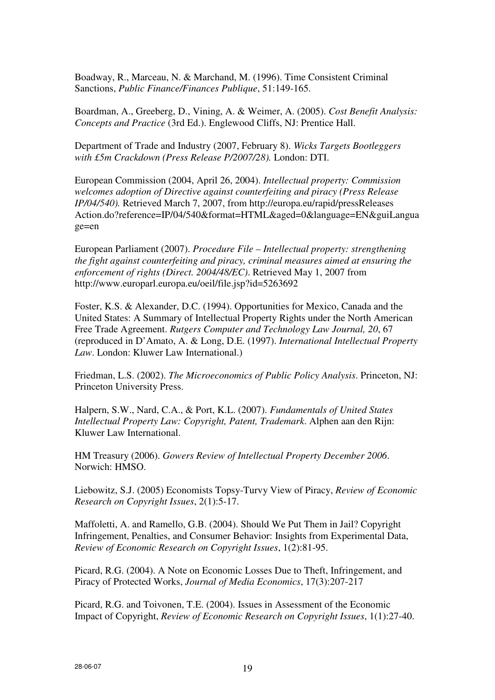Boadway, R., Marceau, N. & Marchand, M. (1996). Time Consistent Criminal Sanctions, *Public Finance/Finances Publique*, 51:149-165.

Boardman, A., Greeberg, D., Vining, A. & Weimer, A. (2005). *Cost Benefit Analysis: Concepts and Practice* (3rd Ed.). Englewood Cliffs, NJ: Prentice Hall.

Department of Trade and Industry (2007, February 8). *Wicks Targets Bootleggers with £5m Crackdown (Press Release P/2007/28).* London: DTI.

European Commission (2004, April 26, 2004). *Intellectual property: Commission welcomes adoption of Directive against counterfeiting and piracy (Press Release IP/04/540).* Retrieved March 7, 2007, from http://europa.eu/rapid/pressReleases Action.do?reference=IP/04/540&format=HTML&aged=0&language=EN&guiLangua ge=en

European Parliament (2007). *Procedure File – Intellectual property: strengthening the fight against counterfeiting and piracy, criminal measures aimed at ensuring the enforcement of rights (Direct. 2004/48/EC)*. Retrieved May 1, 2007 from http://www.europarl.europa.eu/oeil/file.jsp?id=5263692

Foster, K.S. & Alexander, D.C. (1994). Opportunities for Mexico, Canada and the United States: A Summary of Intellectual Property Rights under the North American Free Trade Agreement. *Rutgers Computer and Technology Law Journal, 20*, 67 (reproduced in D'Amato, A. & Long, D.E. (1997). *International Intellectual Property Law*. London: Kluwer Law International.)

Friedman, L.S. (2002). *The Microeconomics of Public Policy Analysis*. Princeton, NJ: Princeton University Press.

Halpern, S.W., Nard, C.A., & Port, K.L. (2007). *Fundamentals of United States Intellectual Property Law: Copyright, Patent, Trademark*. Alphen aan den Rijn: Kluwer Law International.

HM Treasury (2006). *Gowers Review of Intellectual Property December 2006*. Norwich: HMSO.

Liebowitz, S.J. (2005) Economists Topsy-Turvy View of Piracy, *Review of Economic Research on Copyright Issues*, 2(1):5-17.

Maffoletti, A. and Ramello, G.B. (2004). Should We Put Them in Jail? Copyright Infringement, Penalties, and Consumer Behavior: Insights from Experimental Data, *Review of Economic Research on Copyright Issues*, 1(2):81-95.

Picard, R.G. (2004). A Note on Economic Losses Due to Theft, Infringement, and Piracy of Protected Works, *Journal of Media Economics*, 17(3):207-217

Picard, R.G. and Toivonen, T.E. (2004). Issues in Assessment of the Economic Impact of Copyright, *Review of Economic Research on Copyright Issues*, 1(1):27-40.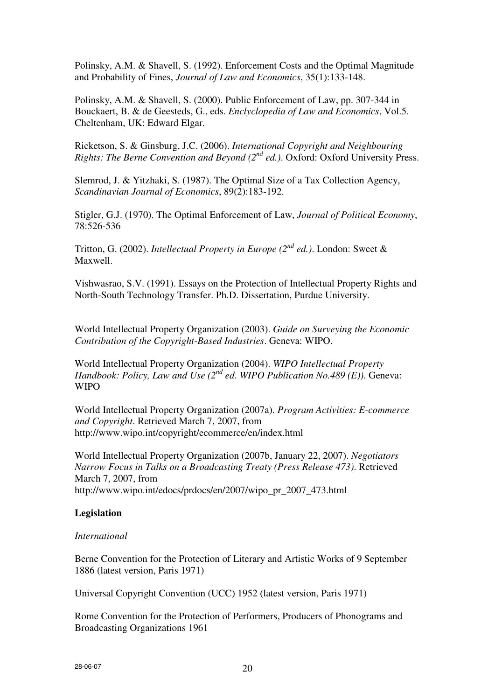Polinsky, A.M. & Shavell, S. (1992). Enforcement Costs and the Optimal Magnitude and Probability of Fines, *Journal of Law and Economics*, 35(1):133-148.

Polinsky, A.M. & Shavell, S. (2000). Public Enforcement of Law, pp. 307-344 in Bouckaert, B. & de Geesteds, G., eds. *Enclyclopedia of Law and Economics*, Vol.5. Cheltenham, UK: Edward Elgar.

Ricketson, S. & Ginsburg, J.C. (2006). *International Copyright and Neighbouring Rights: The Berne Convention and Beyond (2nd ed.)*. Oxford: Oxford University Press.

Slemrod, J. & Yitzhaki, S. (1987). The Optimal Size of a Tax Collection Agency, *Scandinavian Journal of Economics*, 89(2):183-192.

Stigler, G.J. (1970). The Optimal Enforcement of Law, *Journal of Political Economy*, 78:526-536

Tritton, G. (2002). *Intellectual Property in Europe (2nd ed.)*. London: Sweet & Maxwell.

Vishwasrao, S.V. (1991). Essays on the Protection of Intellectual Property Rights and North-South Technology Transfer. Ph.D. Dissertation, Purdue University.

World Intellectual Property Organization (2003). *Guide on Surveying the Economic Contribution of the Copyright-Based Industries*. Geneva: WIPO.

World Intellectual Property Organization (2004). *WIPO Intellectual Property Handbook: Policy, Law and Use (2nd ed. WIPO Publication No.489 (E))*. Geneva: WIPO

World Intellectual Property Organization (2007a). *Program Activities: E-commerce and Copyright*. Retrieved March 7, 2007, from http://www.wipo.int/copyright/ecommerce/en/index.html

World Intellectual Property Organization (2007b, January 22, 2007). *Negotiators Narrow Focus in Talks on a Broadcasting Treaty (Press Release 473)*. Retrieved March 7, 2007, from http://www.wipo.int/edocs/prdocs/en/2007/wipo\_pr\_2007\_473.html

### **Legislation**

### *International*

Berne Convention for the Protection of Literary and Artistic Works of 9 September 1886 (latest version, Paris 1971)

Universal Copyright Convention (UCC) 1952 (latest version, Paris 1971)

Rome Convention for the Protection of Performers, Producers of Phonograms and Broadcasting Organizations 1961